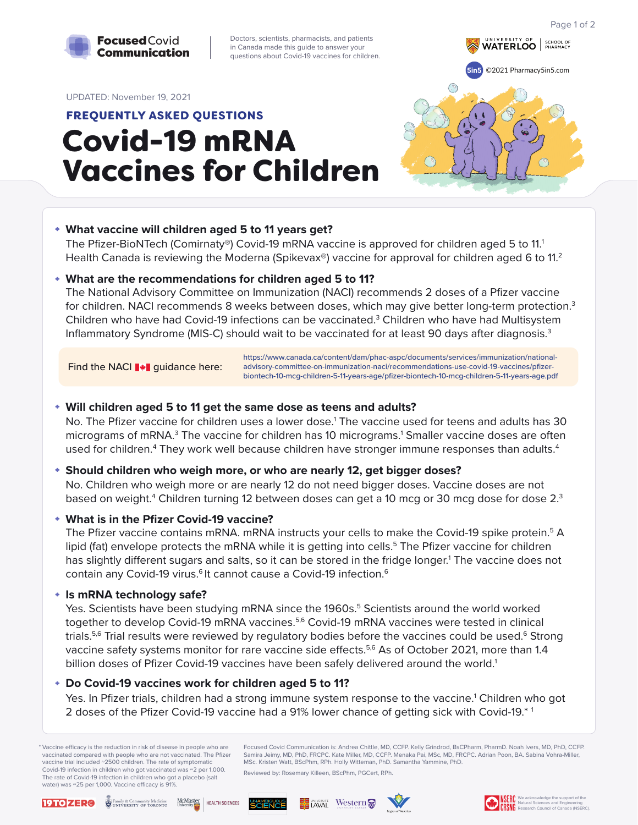Focused Covid Communication is: Andrea Chittle, MD, CCFP. Kelly Grindrod, BsCPharm, PharmD. Noah Ivers, MD, PhD, CCFP. Samira Jeimy, MD, PhD, FRCPC. Kate Miller, MD, CCFP. Menaka Pai, MSc, MD, FRCPC. Adrian Poon, BA. Sabina Vohra-Miller, MSc. Kristen Watt, BScPhm, RPh. Holly Witteman, PhD. Samantha Yammine, PhD.

Reviewed by: Rosemary Killeen, BScPhm, PGCert, RPh.



# Covid-19 mRNA Vaccines for Children FREQUENTLY ASKED QUESTIONS

#### UPDATED: November 19, 2021

No. Children who weigh more or are nearly 12 do not need bigger doses. Vaccine doses are not based on weight. $^4$  Children turning 12 between doses can get a 10 mcg or 30 mcg dose for dose 2. $^3$ 



Doctors, scientists, pharmacists, and patients in Canada made this guide to answer your questions about Covid-19 vaccines for children.



# **What vaccine will children aged 5 to 11 years get?**

The Pfizer-BioNTech (Comirnaty®) Covid-19 mRNA vaccine is approved for children aged 5 to 11.<sup>1</sup> Health Canada is reviewing the Moderna (Spikevax<sup>®</sup>) vaccine for approval for children aged 6 to 11.<sup>2</sup>

#### **Will children aged 5 to 11 get the same dose as teens and adults?**

No. The Pfizer vaccine for children uses a lower dose.<sup>1</sup> The vaccine used for teens and adults has 30 micrograms of mRNA.<sup>3</sup> The vaccine for children has 10 micrograms.<sup>1</sup> Smaller vaccine doses are often used for children.<sup>4</sup> They work well because children have stronger immune responses than adults.<sup>4</sup>

Yes. In Pfizer trials, children had a strong immune system response to the vaccine.<sup>1</sup> Children who got 2 doses of the Pfizer Covid-19 vaccine had a 91% lower chance of getting sick with Covid-19.\* 1

The National Advisory Committee on Immunization (NACI) recommends 2 doses of a Pfizer vaccine for children. NACI recommends 8 weeks between doses, which may give better long-term protection.<sup>3</sup> Children who have had Covid-19 infections can be vaccinated.<sup>3</sup> Children who have had Multisystem Inflammatory Syndrome (MIS-C) should wait to be vaccinated for at least 90 days after diagnosis.<sup>3</sup>

\* Vaccine efficacy is the reduction in risk of disease in people who are vaccinated compared with people who are not vaccinated. The Pfizer vaccine trial included ~2500 children. The rate of symptomatic Covid-19 infection in children who got vaccinated was ~2 per 1,000. The rate of Covid-19 infection in children who got a placebo (salt water) was  $\sim$ 25 per 1,000. Vaccine efficacy is 91%.

Find the NACI **\*** guidance here:

# **Should children who weigh more, or who are nearly 12, get bigger doses?**

# **What is in the Pfizer Covid-19 vaccine?**

The Pfizer vaccine contains mRNA. mRNA instructs your cells to make the Covid-19 spike protein.<sup>5</sup> A lipid (fat) envelope protects the mRNA while it is getting into cells.<sup>5</sup> The Pfizer vaccine for children has slightly different sugars and salts, so it can be stored in the fridge longer.<sup>1</sup> The vaccine does not contain any Covid-19 virus.<sup>6</sup> It cannot cause a Covid-19 infection.<sup>6</sup>

# **Is mRNA technology safe?**

Yes. Scientists have been studying mRNA since the 1960s.<sup>5</sup> Scientists around the world worked together to develop Covid-19 mRNA vaccines.<sup>5,6</sup> Covid-19 mRNA vaccines were tested in clinical trials.<sup>5,6</sup> Trial results were reviewed by regulatory bodies before the vaccines could be used.<sup>6</sup> Strong vaccine safety systems monitor for rare vaccine side effects.<sup>5,6</sup> As of October 2021, more than 1.4 billion doses of Pfizer Covid-19 vaccines have been safely delivered around the world.<sup>1</sup>

# **Do Covid-19 vaccines work for children aged 5 to 11?**

# **What are the recommendations for children aged 5 to 11?**

https://www.canada.ca/content/dam/phac-aspc/documents/services/immunization/nationaladvisory-committee-on-immunization-naci/recommendations-use-covid-19-vaccines/pfizer[biontech-10-mcg-children-5-11-years-age/pfizer-biontech-10-mcg-children-5-11-years-age.pdf](https://www.canada.ca/content/dam/phac-aspc/documents/services/immunization/national-advisory-committee-on-immunization-naci/recommendations-use-covid-19-vaccines/pfizer-biontech-10-mcg-children-5-11-years-age/pfizer-biontech-10-mcg-children-5-11-years-age.pdf)